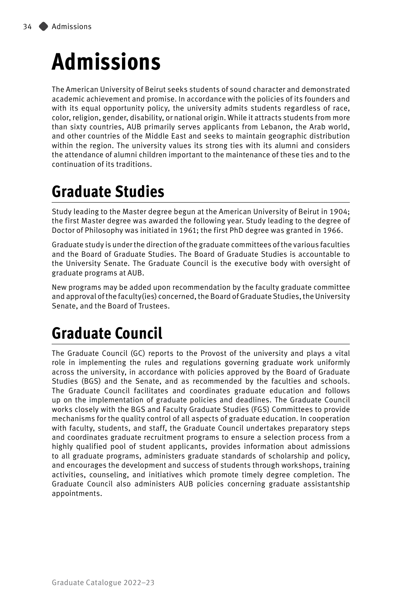# **Admissions**

The American University of Beirut seeks students of sound character and demonstrated academic achievement and promise. In accordance with the policies of its founders and with its equal opportunity policy, the university admits students regardless of race, color, religion, gender, disability, or national origin. While it attracts students from more than sixty countries, AUB primarily serves applicants from Lebanon, the Arab world, and other countries of the Middle East and seeks to maintain geographic distribution within the region. The university values its strong ties with its alumni and considers the attendance of alumni children important to the maintenance of these ties and to the continuation of its traditions.

# **Graduate Studies**

Study leading to the Master degree begun at the American University of Beirut in 1904; the first Master degree was awarded the following year. Study leading to the degree of Doctor of Philosophy was initiated in 1961; the first PhD degree was granted in 1966.

Graduate study is under the direction of the graduate committees of the various faculties and the Board of Graduate Studies. The Board of Graduate Studies is accountable to the University Senate. The Graduate Council is the executive body with oversight of graduate programs at AUB.

New programs may be added upon recommendation by the faculty graduate committee and approval of the faculty(ies) concerned, the Board of Graduate Studies, the University Senate, and the Board of Trustees.

# **Graduate Council**

The Graduate Council (GC) reports to the Provost of the university and plays a vital role in implementing the rules and regulations governing graduate work uniformly across the university, in accordance with policies approved by the Board of Graduate Studies (BGS) and the Senate, and as recommended by the faculties and schools. The Graduate Council facilitates and coordinates graduate education and follows up on the implementation of graduate policies and deadlines. The Graduate Council works closely with the BGS and Faculty Graduate Studies (FGS) Committees to provide mechanisms for the quality control of all aspects of graduate education. In cooperation with faculty, students, and staff, the Graduate Council undertakes preparatory steps and coordinates graduate recruitment programs to ensure a selection process from a highly qualified pool of student applicants, provides information about admissions to all graduate programs, administers graduate standards of scholarship and policy, and encourages the development and success of students through workshops, training activities, counseling, and initiatives which promote timely degree completion. The Graduate Council also administers AUB policies concerning graduate assistantship appointments.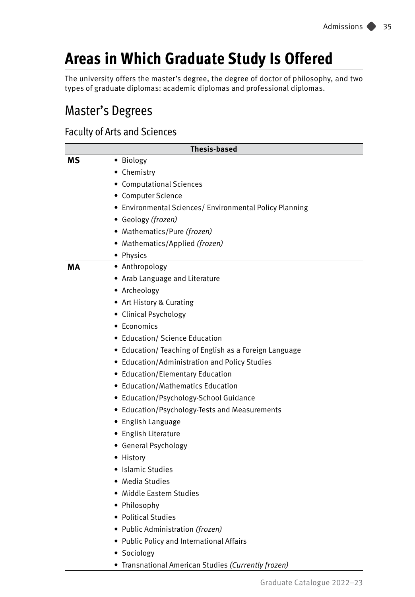# **Areas in Which Graduate Study Is Offered**

The university offers the master's degree, the degree of doctor of philosophy, and two types of graduate diplomas: academic diplomas and professional diplomas.

### Master's Degrees

### Faculty of Arts and Sciences

| <b>Thesis-based</b> |                                                         |  |
|---------------------|---------------------------------------------------------|--|
| мs                  | · Biology                                               |  |
|                     | • Chemistry                                             |  |
|                     | • Computational Sciences                                |  |
|                     | • Computer Science                                      |  |
|                     | • Environmental Sciences/ Environmental Policy Planning |  |
|                     | • Geology (frozen)                                      |  |
|                     | • Mathematics/Pure (frozen)                             |  |
|                     | • Mathematics/Applied (frozen)                          |  |
|                     | • Physics                                               |  |
| MА                  | • Anthropology                                          |  |
|                     | • Arab Language and Literature                          |  |
|                     | • Archeology                                            |  |
|                     | • Art History & Curating                                |  |
|                     | • Clinical Psychology                                   |  |
|                     | • Economics                                             |  |
|                     | • Education/ Science Education                          |  |
|                     | • Education/ Teaching of English as a Foreign Language  |  |
|                     | • Education/Administration and Policy Studies           |  |
|                     | • Education/Elementary Education                        |  |
|                     | • Education/Mathematics Education                       |  |
|                     | · Education/Psychology-School Guidance                  |  |
|                     | • Education/Psychology-Tests and Measurements           |  |
|                     | • English Language                                      |  |
|                     | • English Literature                                    |  |
|                     | • General Psychology                                    |  |
|                     | • History                                               |  |
|                     | • Islamic Studies                                       |  |
|                     | $\bullet$ Media Studies                                 |  |
|                     | • Middle Eastern Studies                                |  |
|                     | • Philosophy                                            |  |
|                     | • Political Studies                                     |  |
|                     | • Public Administration (frozen)                        |  |
|                     | • Public Policy and International Affairs               |  |
|                     | • Sociology                                             |  |

• Transnational American Studies *(Currently frozen)*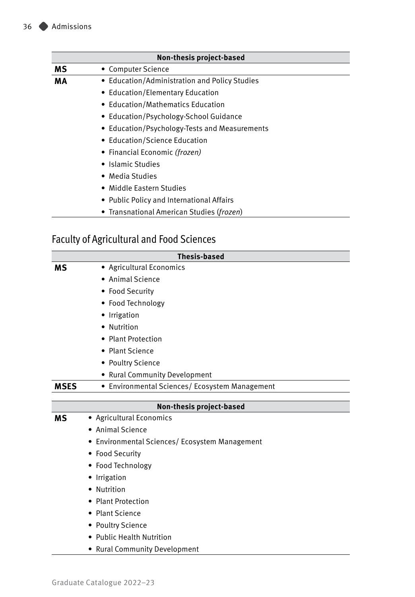| Non-thesis project-based                      |                                               |  |
|-----------------------------------------------|-----------------------------------------------|--|
| МS                                            | • Computer Science                            |  |
| МA                                            | • Education/Administration and Policy Studies |  |
| • Education/Elementary Education              |                                               |  |
| • Education/Mathematics Education             |                                               |  |
| • Education/Psychology-School Guidance        |                                               |  |
| • Education/Psychology-Tests and Measurements |                                               |  |
| • Education/Science Education                 |                                               |  |
| • Financial Economic <i>(frozen)</i>          |                                               |  |
| • Islamic Studies                             |                                               |  |
| • Media Studies                               |                                               |  |
| • Middle Eastern Studies                      |                                               |  |
|                                               | • Public Policy and International Affairs     |  |
|                                               | • Transnational American Studies (frozen)     |  |

### Faculty of Agricultural and Food Sciences

| <b>Thesis-based</b> |                                                |  |
|---------------------|------------------------------------------------|--|
| <b>MS</b>           | • Agricultural Economics                       |  |
|                     | • Animal Science                               |  |
|                     | • Food Security                                |  |
|                     | • Food Technology                              |  |
|                     | • Irrigation                                   |  |
|                     | • Nutrition                                    |  |
|                     | • Plant Protection                             |  |
|                     | • Plant Science                                |  |
|                     | • Poultry Science                              |  |
|                     | • Rural Community Development                  |  |
| <b>MSES</b>         | • Environmental Sciences/ Ecosystem Management |  |
|                     |                                                |  |
|                     | Non-thesis project-based                       |  |
| мs                  | • Agricultural Economics                       |  |
|                     | • Animal Science                               |  |
|                     | • Environmental Sciences/ Ecosystem Management |  |
|                     | • Food Security                                |  |
|                     | • Food Technology                              |  |
|                     | Irrigation                                     |  |
|                     | Nutrition                                      |  |
|                     | • Plant Protection                             |  |
|                     | • Plant Science                                |  |
|                     | • Poultry Science                              |  |
|                     | • Public Health Nutrition                      |  |
|                     | • Rural Community Development                  |  |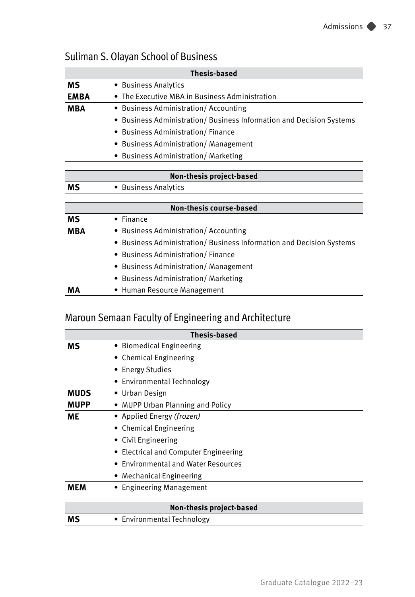| <b>Thesis-based</b>                    |                                                                    |  |  |
|----------------------------------------|--------------------------------------------------------------------|--|--|
| ΜS                                     | • Business Analytics                                               |  |  |
| <b>EMBA</b>                            | • The Executive MBA in Business Administration                     |  |  |
| MBA                                    | • Business Administration/Accounting                               |  |  |
|                                        | Business Administration/Business Information and Decision Systems  |  |  |
|                                        | <b>Business Administration/Finance</b>                             |  |  |
|                                        | • Business Administration/ Management                              |  |  |
|                                        | <b>Business Administration/ Marketing</b>                          |  |  |
|                                        |                                                                    |  |  |
| Non-thesis project-based               |                                                                    |  |  |
| ΜS                                     | • Business Analytics                                               |  |  |
|                                        |                                                                    |  |  |
|                                        | <b>Non-thesis course-based</b>                                     |  |  |
| ΜS                                     | $\bullet$ Finance                                                  |  |  |
| MBA                                    | • Business Administration/Accounting                               |  |  |
|                                        | Business Administration/ Business Information and Decision Systems |  |  |
| <b>Business Administration/Finance</b> |                                                                    |  |  |
|                                        | <b>Business Administration/ Management</b>                         |  |  |
|                                        | • Business Administration/ Marketing                               |  |  |
| MА                                     | • Human Resource Management                                        |  |  |

### Suliman S. Olayan School of Business

### Maroun Semaan Faculty of Engineering and Architecture

| <b>Thesis-based</b>                      |                                       |  |
|------------------------------------------|---------------------------------------|--|
| ΜS                                       | • Biomedical Engineering              |  |
|                                          | • Chemical Engineering                |  |
|                                          | • Energy Studies                      |  |
|                                          | • Environmental Technology            |  |
| <b>MUDS</b>                              | • Urban Design                        |  |
| <b>MUPP</b>                              | • MUPP Urban Planning and Policy      |  |
| <b>ME</b>                                | • Applied Energy (frozen)             |  |
|                                          | • Chemical Engineering                |  |
|                                          | • Civil Engineering                   |  |
|                                          | • Electrical and Computer Engineering |  |
| <b>Environmental and Water Resources</b> |                                       |  |
| Mechanical Engineering                   |                                       |  |
| MEM                                      | • Engineering Management              |  |
|                                          |                                       |  |
|                                          | Non-thesis project-based              |  |
| мs                                       | • Environmental Technology            |  |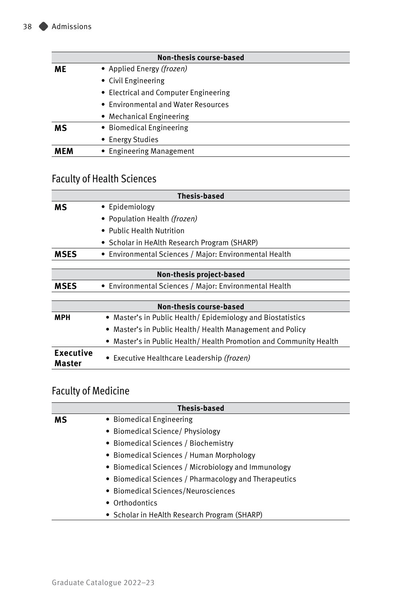| <b>Non-thesis course-based</b> |                                       |  |  |  |
|--------------------------------|---------------------------------------|--|--|--|
| ME                             | • Applied Energy (frozen)             |  |  |  |
|                                | • Civil Engineering                   |  |  |  |
|                                | • Electrical and Computer Engineering |  |  |  |
|                                | • Environmental and Water Resources   |  |  |  |
|                                | • Mechanical Engineering              |  |  |  |
| мs                             | • Biomedical Engineering              |  |  |  |
|                                | • Energy Studies                      |  |  |  |
| MEM                            | • Engineering Management              |  |  |  |

### Faculty of Health Sciences

| <b>Thesis-based</b>        |                                                                 |  |  |
|----------------------------|-----------------------------------------------------------------|--|--|
| ΜS                         | • Epidemiology                                                  |  |  |
|                            | • Population Health (frozen)                                    |  |  |
|                            | • Public Health Nutrition                                       |  |  |
|                            | • Scholar in HeAlth Research Program (SHARP)                    |  |  |
| MSES                       | • Environmental Sciences / Major: Environmental Health          |  |  |
|                            |                                                                 |  |  |
| Non-thesis project-based   |                                                                 |  |  |
| MSES                       | • Environmental Sciences / Major: Environmental Health          |  |  |
|                            |                                                                 |  |  |
|                            | <b>Non-thesis course-based</b>                                  |  |  |
| MPH                        | • Master's in Public Health/Epidemiology and Biostatistics      |  |  |
|                            | Master's in Public Health/Health Management and Policy          |  |  |
|                            | Master's in Public Health/Health Promotion and Community Health |  |  |
| <b>Executive</b><br>Master | • Executive Healthcare Leadership (frozen)                      |  |  |

### Faculty of Medicine

| <b>Thesis-based</b>                  |                                                       |  |  |
|--------------------------------------|-------------------------------------------------------|--|--|
| мs                                   | • Biomedical Engineering                              |  |  |
| • Biomedical Science/ Physiology     |                                                       |  |  |
| • Biomedical Sciences / Biochemistry |                                                       |  |  |
|                                      | • Biomedical Sciences / Human Morphology              |  |  |
|                                      | • Biomedical Sciences / Microbiology and Immunology   |  |  |
|                                      | • Biomedical Sciences / Pharmacology and Therapeutics |  |  |
|                                      | • Biomedical Sciences/Neurosciences                   |  |  |
| • Orthodontics                       |                                                       |  |  |
|                                      | • Scholar in HeAlth Research Program (SHARP)          |  |  |
|                                      |                                                       |  |  |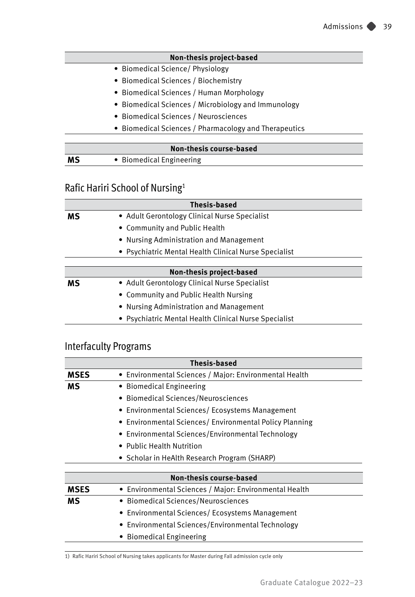#### **Non-thesis project-based**

- Biomedical Science/ Physiology
- Biomedical Sciences / Biochemistry
- Biomedical Sciences / Human Morphology
- Biomedical Sciences / Microbiology and Immunology
- Biomedical Sciences / Neurosciences
- Biomedical Sciences / Pharmacology and Therapeutics

| Non-thesis course-based |                          |  |
|-------------------------|--------------------------|--|
| MS                      | • Biomedical Engineering |  |

### Rafic Hariri School of Nursing1

| Thesis-based                            |                                                       |  |  |  |
|-----------------------------------------|-------------------------------------------------------|--|--|--|
| мs                                      | • Adult Gerontology Clinical Nurse Specialist         |  |  |  |
| • Community and Public Health           |                                                       |  |  |  |
| • Nursing Administration and Management |                                                       |  |  |  |
|                                         | • Psychiatric Mental Health Clinical Nurse Specialist |  |  |  |
|                                         |                                                       |  |  |  |
|                                         | Non-thesis project-based                              |  |  |  |
| мs                                      | • Adult Gerontology Clinical Nurse Specialist         |  |  |  |
|                                         | • Community and Public Health Nursing                 |  |  |  |
|                                         | • Nursing Administration and Management               |  |  |  |
|                                         | • Psychiatric Mental Health Clinical Nurse Specialist |  |  |  |

### Interfaculty Programs

| <b>Thesis-based</b> |                                                         |  |
|---------------------|---------------------------------------------------------|--|
| <b>MSES</b>         | • Environmental Sciences / Major: Environmental Health  |  |
| мs                  | • Biomedical Engineering                                |  |
|                     | • Biomedical Sciences/Neurosciences                     |  |
|                     | • Environmental Sciences/ Ecosystems Management         |  |
|                     | • Environmental Sciences/ Environmental Policy Planning |  |
|                     | • Environmental Sciences/Environmental Technology       |  |
|                     | • Public Health Nutrition                               |  |
|                     | • Scholar in HeAlth Research Program (SHARP)            |  |
|                     |                                                         |  |
|                     | <b>Non-thesis course-based</b>                          |  |
| <b>MSES</b>         | • Environmental Sciences / Major: Environmental Health  |  |
| ΜS                  | • Biomedical Sciences/Neurosciences                     |  |
|                     | • Environmental Sciences/ Ecosystems Management         |  |
|                     | • Environmental Sciences/Environmental Technology       |  |
|                     | <b>Biomedical Engineering</b>                           |  |

1) Rafic Hariri School of Nursing takes applicants for Master during Fall admission cycle only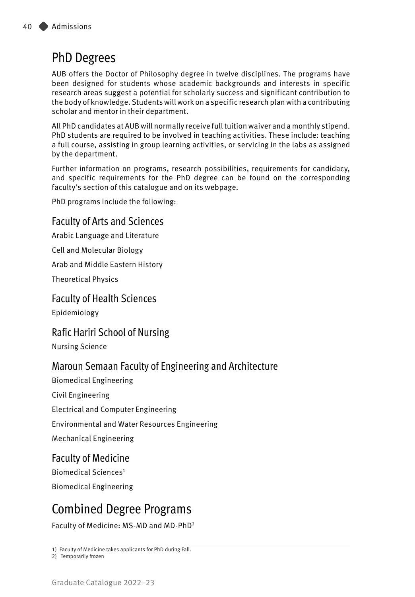### PhD Degrees

AUB offers the Doctor of Philosophy degree in twelve disciplines. The programs have been designed for students whose academic backgrounds and interests in specific research areas suggest a potential for scholarly success and significant contribution to the body of knowledge. Students will work on a specific research plan with a contributing scholar and mentor in their department.

All PhD candidates at AUB will normally receive full tuition waiver and a monthly stipend. PhD students are required to be involved in teaching activities. These include: teaching a full course, assisting in group learning activities, or servicing in the labs as assigned by the department.

Further information on programs, research possibilities, requirements for candidacy, and specific requirements for the PhD degree can be found on the corresponding faculty's section of this catalogue and on its webpage.

PhD programs include the following:

### Faculty of Arts and Sciences

Arabic Language and Literature

Cell and Molecular Biology

Arab and Middle Eastern History

Theoretical Physics

#### Faculty of Health Sciences

Epidemiology

### Rafic Hariri School of Nursing

Nursing Science

### Maroun Semaan Faculty of Engineering and Architecture

Biomedical Engineering Civil Engineering Electrical and Computer Engineering Environmental and Water Resources Engineering Mechanical Engineering

### Faculty of Medicine

Biomedical Sciences1 Biomedical Engineering

### Combined Degree Programs

Faculty of Medicine: MS-MD and MD-PhD2

<sup>1)</sup> Faculty of Medicine takes applicants for PhD during Fall.

<sup>2)</sup> Temporarily frozen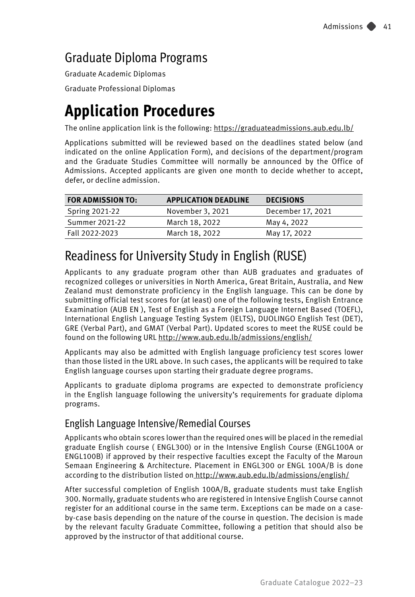### Graduate Diploma Programs

Graduate Academic Diplomas Graduate Professional Diplomas

# **Application Procedures**

The online application link is the following: [https://graduateadmissions.aub.edu.lb/](https://graduateadmissions.aub.edu.lb)

Applications submitted will be reviewed based on the deadlines stated below (and indicated on the online Application Form), and decisions of the department/program and the Graduate Studies Committee will normally be announced by the Office of Admissions. Accepted applicants are given one month to decide whether to accept, defer, or decline admission.

<span id="page-7-0"></span>

| <b>FOR ADMISSION TO:</b> | <b>APPLICATION DEADLINE</b> | <b>DECISIONS</b>  |
|--------------------------|-----------------------------|-------------------|
| <b>Spring 2021-22</b>    | November 3, 2021            | December 17, 2021 |
| Summer 2021-22           | March 18, 2022              | May 4, 2022       |
| Fall 2022-2023           | March 18, 2022              | May 17, 2022      |

### Readiness for University Study in English (RUSE)

Applicants to any graduate program other than AUB graduates and graduates of recognized colleges or universities in North America, Great Britain, Australia, and New Zealand must demonstrate proficiency in the English language. This can be done by submitting official test scores for (at least) one of the following tests, English Entrance Examination (AUB EN ), Test of English as a Foreign Language Internet Based (TOEFL), International English Language Testing System (IELTS), DUOLINGO English Test (DET), GRE (Verbal Part), and GMAT (Verbal Part). Updated scores to meet the RUSE could be found on the following URL<http://www.aub.edu.lb/admissions/english/>

Applicants may also be admitted with English language proficiency test scores lower than those listed in the URL above. In such cases, the applicants will be required to take English language courses upon starting their graduate degree programs.

Applicants to graduate diploma programs are expected to demonstrate proficiency in the English language following the university's requirements for graduate diploma programs.

### English Language Intensive/Remedial Courses

Applicants who obtain scores lower than the required ones will be placed in the remedial graduate English course ( ENGL300) or in the Intensive English Course (ENGL100A or ENGL100B) if approved by their respective faculties except the Faculty of the Maroun Semaan Engineering & Architecture. Placement in ENGL300 or ENGL 100A/B is done according to the distribution listed on <http://www.aub.edu.lb/admissions/english/>

After successful completion of English 100A/B, graduate students must take English 300. Normally, graduate students who are registered in Intensive English Course cannot register for an additional course in the same term. Exceptions can be made on a caseby-case basis depending on the nature of the course in question. The decision is made by the relevant faculty Graduate Committee, following a petition that should also be approved by the instructor of that additional course.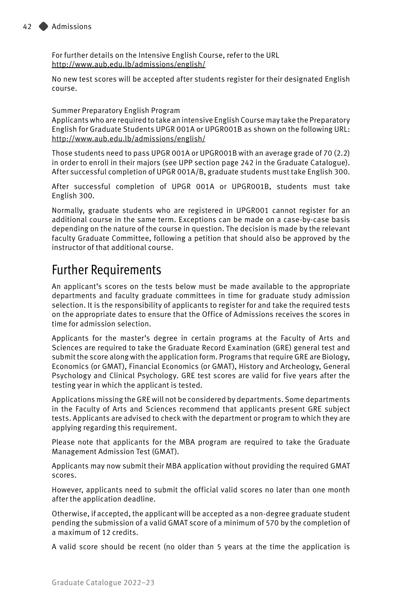For further details on the Intensive English Course, refer to the URL <http://www.aub.edu.lb/admissions/english/>

No new test scores will be accepted after students register for their designated English course.

Summer Preparatory English Program

Applicants who are required to take an intensive English Course may take the Preparatory English for Graduate Students UPGR 001A or UPGR001B as shown on the following URL: <http://www.aub.edu.lb/admissions/english/>

Those students need to pass UPGR 001A or UPGR001B with an average grade of 70 (2.2) in order to enroll in their majors (see UPP section page 242 in the Graduate Catalogue). After successful completion of UPGR 001A/B, graduate students must take English 300.

After successful completion of UPGR 001A or UPGR001B, students must take English 300.

Normally, graduate students who are registered in UPGR001 cannot register for an additional course in the same term. Exceptions can be made on a case-by-case basis depending on the nature of the course in question. The decision is made by the relevant faculty Graduate Committee, following a petition that should also be approved by the instructor of that additional course.

### Further Requirements

An applicant's scores on the tests below must be made available to the appropriate departments and faculty graduate committees in time for graduate study admission selection. It is the responsibility of applicants to register for and take the required tests on the appropriate dates to ensure that the Office of Admissions receives the scores in time for admission selection.

Applicants for the master's degree in certain programs at the Faculty of Arts and Sciences are required to take the Graduate Record Examination (GRE) general test and submit the score along with the application form. Programs that require GRE are Biology, Economics (or GMAT), Financial Economics (or GMAT), History and Archeology, General Psychology and Clinical Psychology. GRE test scores are valid for five years after the testing year in which the applicant is tested.

Applications missing the GRE will not be considered by departments. Some departments in the Faculty of Arts and Sciences recommend that applicants present GRE subject tests. Applicants are advised to check with the department or program to which they are applying regarding this requirement.

Please note that applicants for the MBA program are required to take the Graduate Management Admission Test (GMAT).

Applicants may now submit their MBA application without providing the required GMAT scores.

However, applicants need to submit the official valid scores no later than one month after the application deadline.

Otherwise, if accepted, the applicant will be accepted as a non-degree graduate student pending the submission of a valid GMAT score of a minimum of 570 by the completion of a maximum of 12 credits.

A valid score should be recent (no older than 5 years at the time the application is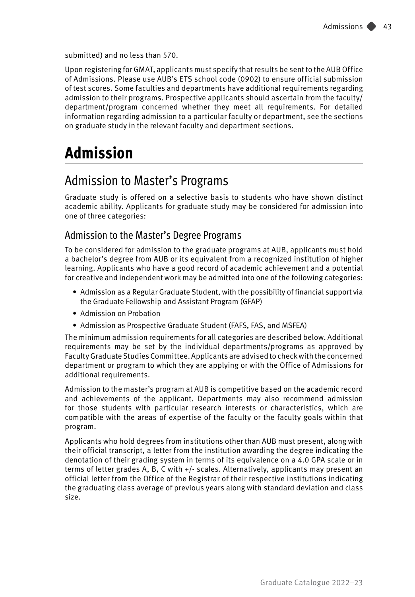submitted) and no less than 570.

Upon registering for GMAT, applicants must specify that results be sent to the AUB Office of Admissions. Please use AUB's ETS school code (0902) to ensure official submission of test scores. Some faculties and departments have additional requirements regarding admission to their programs. Prospective applicants should ascertain from the faculty/ department/program concerned whether they meet all requirements. For detailed information regarding admission to a particular faculty or department, see the sections on graduate study in the relevant faculty and department sections.

## **Admission**

### Admission to Master's Programs

Graduate study is offered on a selective basis to students who have shown distinct academic ability. Applicants for graduate study may be considered for admission into one of three categories:

### Admission to the Master's Degree Programs

To be considered for admission to the graduate programs at AUB, applicants must hold a bachelor's degree from AUB or its equivalent from a recognized institution of higher learning. Applicants who have a good record of academic achievement and a potential for creative and independent work may be admitted into one of the following categories:

- Admission as a Regular Graduate Student, with the possibility of financial support via the Graduate Fellowship and Assistant Program (GFAP)
- Admission on Probation
- Admission as Prospective Graduate Student (FAFS, FAS, and MSFEA)

The minimum admission requirements for all categories are described below. Additional requirements may be set by the individual departments/programs as approved by Faculty Graduate Studies Committee. Applicants are advised to check with the concerned department or program to which they are applying or with the Office of Admissions for additional requirements.

Admission to the master's program at AUB is competitive based on the academic record and achievements of the applicant. Departments may also recommend admission for those students with particular research interests or characteristics, which are compatible with the areas of expertise of the faculty or the faculty goals within that program.

Applicants who hold degrees from institutions other than AUB must present, along with their official transcript, a letter from the institution awarding the degree indicating the denotation of their grading system in terms of its equivalence on a 4.0 GPA scale or in terms of letter grades A, B, C with +/- scales. Alternatively, applicants may present an official letter from the Office of the Registrar of their respective institutions indicating the graduating class average of previous years along with standard deviation and class size.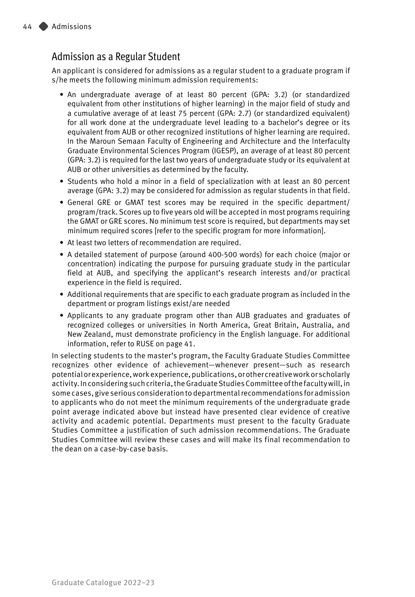### Admission as a Regular Student

An applicant is considered for admissions as a regular student to a graduate program if s/he meets the following minimum admission requirements:

- An undergraduate average of at least 80 percent (GPA: 3.2) (or standardized equivalent from other institutions of higher learning) in the major field of study and a cumulative average of at least 75 percent (GPA: 2.7) (or standardized equivalent) for all work done at the undergraduate level leading to a bachelor's degree or its equivalent from AUB or other recognized institutions of higher learning are required. In the Maroun Semaan Faculty of Engineering and Architecture and the Interfaculty Graduate Environmental Sciences Program (IGESP), an average of at least 80 percent (GPA: 3.2) is required for the last two years of undergraduate study or its equivalent at AUB or other universities as determined by the faculty.
- Students who hold a minor in a field of specialization with at least an 80 percent average (GPA: 3.2) may be considered for admission as regular students in that field.
- General GRE or GMAT test scores may be required in the specific department/ program/track. Scores up to five years old will be accepted in most programs requiring the GMAT or GRE scores. No minimum test score is required, but departments may set minimum required scores [refer to the specific program for more information].
- At least two letters of recommendation are required.
- A detailed statement of purpose (around 400-500 words) for each choice (major or concentration) indicating the purpose for pursuing graduate study in the particular field at AUB, and specifying the applicant's research interests and/or practical experience in the field is required.
- Additional requirements that are specific to each graduate program as included in the department or program listings exist/are needed
- Applicants to any graduate program other than AUB graduates and graduates of recognized colleges or universities in North America, Great Britain, Australia, and New Zealand, must demonstrate proficiency in the English language. For additional information, refer to RUSE on page [41](#page-7-0).

In selecting students to the master's program, the Faculty Graduate Studies Committee recognizes other evidence of achievement—whenever present—such as research potential or experience, work experience, publications, or other creative work or scholarly activity. In considering such criteria, the Graduate Studies Committee of the faculty will, in some cases, give serious consideration to departmental recommendations for admission to applicants who do not meet the minimum requirements of the undergraduate grade point average indicated above but instead have presented clear evidence of creative activity and academic potential. Departments must present to the faculty Graduate Studies Committee a justification of such admission recommendations. The Graduate Studies Committee will review these cases and will make its final recommendation to the dean on a case-by-case basis.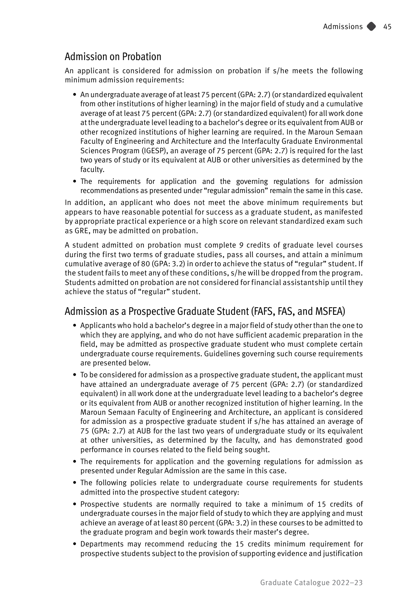### Admission on Probation

An applicant is considered for admission on probation if s/he meets the following minimum admission requirements:

- An undergraduate average of at least 75 percent (GPA: 2.7) (or standardized equivalent from other institutions of higher learning) in the major field of study and a cumulative average of at least 75 percent (GPA: 2.7) (or standardized equivalent) for all work done at the undergraduate level leading to a bachelor's degree or its equivalent from AUB or other recognized institutions of higher learning are required. In the Maroun Semaan Faculty of Engineering and Architecture and the Interfaculty Graduate Environmental Sciences Program (IGESP), an average of 75 percent (GPA: 2.7) is required for the last two years of study or its equivalent at AUB or other universities as determined by the faculty.
- The requirements for application and the governing regulations for admission recommendations as presented under "regular admission" remain the same in this case.

In addition, an applicant who does not meet the above minimum requirements but appears to have reasonable potential for success as a graduate student, as manifested by appropriate practical experience or a high score on relevant standardized exam such as GRE, may be admitted on probation.

A student admitted on probation must complete 9 credits of graduate level courses during the first two terms of graduate studies, pass all courses, and attain a minimum cumulative average of 80 (GPA: 3.2) in order to achieve the status of "regular" student. If the student fails to meet any of these conditions, s/he will be dropped from the program. Students admitted on probation are not considered for financial assistantship until they achieve the status of "regular" student.

### Admission as a Prospective Graduate Student (FAFS, FAS, and MSFEA)

- Applicants who hold a bachelor's degree in a major field of study other than the one to which they are applying, and who do not have sufficient academic preparation in the field, may be admitted as prospective graduate student who must complete certain undergraduate course requirements. Guidelines governing such course requirements are presented below.
- To be considered for admission as a prospective graduate student, the applicant must have attained an undergraduate average of 75 percent (GPA: 2.7) (or standardized equivalent) in all work done at the undergraduate level leading to a bachelor's degree or its equivalent from AUB or another recognized institution of higher learning. In the Maroun Semaan Faculty of Engineering and Architecture, an applicant is considered for admission as a prospective graduate student if s/he has attained an average of 75 (GPA: 2.7) at AUB for the last two years of undergraduate study or its equivalent at other universities, as determined by the faculty, and has demonstrated good performance in courses related to the field being sought.
- The requirements for application and the governing regulations for admission as presented under Regular Admission are the same in this case.
- The following policies relate to undergraduate course requirements for students admitted into the prospective student category:
- Prospective students are normally required to take a minimum of 15 credits of undergraduate courses in the major field of study to which they are applying and must achieve an average of at least 80 percent (GPA: 3.2) in these courses to be admitted to the graduate program and begin work towards their master's degree.
- Departments may recommend reducing the 15 credits minimum requirement for prospective students subject to the provision of supporting evidence and justification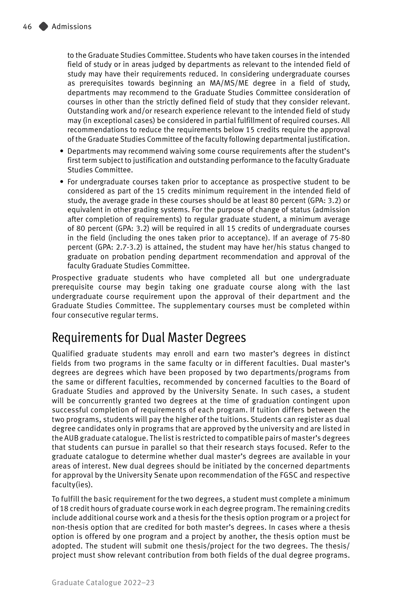to the Graduate Studies Committee. Students who have taken courses in the intended field of study or in areas judged by departments as relevant to the intended field of study may have their requirements reduced. In considering undergraduate courses as prerequisites towards beginning an MA/MS/ME degree in a field of study, departments may recommend to the Graduate Studies Committee consideration of courses in other than the strictly defined field of study that they consider relevant. Outstanding work and/or research experience relevant to the intended field of study may (in exceptional cases) be considered in partial fulfillment of required courses. All recommendations to reduce the requirements below 15 credits require the approval of the Graduate Studies Committee of the faculty following departmental justification.

- Departments may recommend waiving some course requirements after the student's first term subject to justification and outstanding performance to the faculty Graduate Studies Committee.
- For undergraduate courses taken prior to acceptance as prospective student to be considered as part of the 15 credits minimum requirement in the intended field of study, the average grade in these courses should be at least 80 percent (GPA: 3.2) or equivalent in other grading systems. For the purpose of change of status (admission after completion of requirements) to regular graduate student, a minimum average of 80 percent (GPA: 3.2) will be required in all 15 credits of undergraduate courses in the field (including the ones taken prior to acceptance). If an average of 75-80 percent (GPA: 2.7-3.2) is attained, the student may have her/his status changed to graduate on probation pending department recommendation and approval of the faculty Graduate Studies Committee.

Prospective graduate students who have completed all but one undergraduate prerequisite course may begin taking one graduate course along with the last undergraduate course requirement upon the approval of their department and the Graduate Studies Committee. The supplementary courses must be completed within four consecutive regular terms.

### Requirements for Dual Master Degrees

Qualified graduate students may enroll and earn two master's degrees in distinct fields from two programs in the same faculty or in different faculties. Dual master's degrees are degrees which have been proposed by two departments/programs from the same or different faculties, recommended by concerned faculties to the Board of Graduate Studies and approved by the University Senate. In such cases, a student will be concurrently granted two degrees at the time of graduation contingent upon successful completion of requirements of each program. If tuition differs between the two programs, students will pay the higher of the tuitions. Students can register as dual degree candidates only in programs that are approved by the university and are listed in the AUB graduate catalogue. The list is restricted to compatible pairs of master's degrees that students can pursue in parallel so that their research stays focused. Refer to the graduate catalogue to determine whether dual master's degrees are available in your areas of interest. New dual degrees should be initiated by the concerned departments for approval by the University Senate upon recommendation of the FGSC and respective faculty(ies).

To fulfill the basic requirement for the two degrees, a student must complete a minimum of 18 credit hours of graduate course work in each degree program. The remaining credits include additional course work and a thesis for the thesis option program or a project for non-thesis option that are credited for both master's degrees. In cases where a thesis option is offered by one program and a project by another, the thesis option must be adopted. The student will submit one thesis/project for the two degrees. The thesis/ project must show relevant contribution from both fields of the dual degree programs.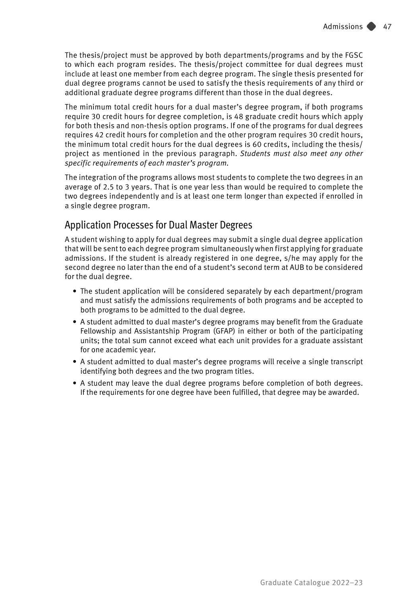The thesis/project must be approved by both departments/programs and by the FGSC to which each program resides. The thesis/project committee for dual degrees must include at least one member from each degree program. The single thesis presented for dual degree programs cannot be used to satisfy the thesis requirements of any third or additional graduate degree programs different than those in the dual degrees.

The minimum total credit hours for a dual master's degree program, if both programs require 30 credit hours for degree completion, is 48 graduate credit hours which apply for both thesis and non-thesis option programs. If one of the programs for dual degrees requires 42 credit hours for completion and the other program requires 30 credit hours, the minimum total credit hours for the dual degrees is 60 credits, including the thesis/ project as mentioned in the previous paragraph. *Students must also meet any other specific requirements of each master's program.* 

The integration of the programs allows most students to complete the two degrees in an average of 2.5 to 3 years. That is one year less than would be required to complete the two degrees independently and is at least one term longer than expected if enrolled in a single degree program.

#### Application Processes for Dual Master Degrees

A student wishing to apply for dual degrees may submit a single dual degree application that will be sent to each degree program simultaneously when first applying for graduate admissions. If the student is already registered in one degree, s/he may apply for the second degree no later than the end of a student's second term at AUB to be considered for the dual degree.

- The student application will be considered separately by each department/program and must satisfy the admissions requirements of both programs and be accepted to both programs to be admitted to the dual degree.
- A student admitted to dual master's degree programs may benefit from the Graduate Fellowship and Assistantship Program (GFAP) in either or both of the participating units; the total sum cannot exceed what each unit provides for a graduate assistant for one academic year.
- A student admitted to dual master's degree programs will receive a single transcript identifying both degrees and the two program titles.
- A student may leave the dual degree programs before completion of both degrees. If the requirements for one degree have been fulfilled, that degree may be awarded.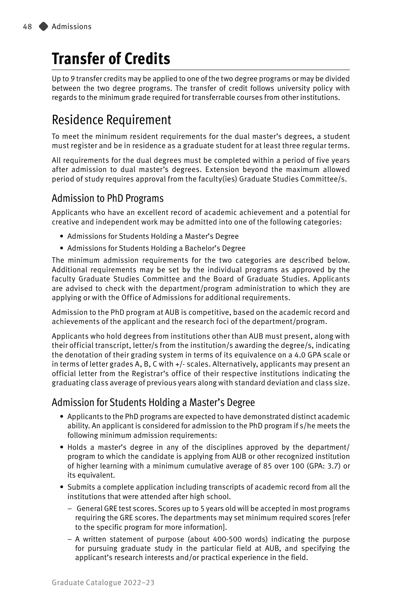# **Transfer of Credits**

Up to 9 transfer credits may be applied to one of the two degree programs or may be divided between the two degree programs. The transfer of credit follows university policy with regards to the minimum grade required for transferrable courses from other institutions.

### Residence Requirement

To meet the minimum resident requirements for the dual master's degrees, a student must register and be in residence as a graduate student for at least three regular terms.

All requirements for the dual degrees must be completed within a period of five years after admission to dual master's degrees. Extension beyond the maximum allowed period of study requires approval from the faculty(ies) Graduate Studies Committee/s.

### Admission to PhD Programs

Applicants who have an excellent record of academic achievement and a potential for creative and independent work may be admitted into one of the following categories:

- Admissions for Students Holding a Master's Degree
- Admissions for Students Holding a Bachelor's Degree

The minimum admission requirements for the two categories are described below. Additional requirements may be set by the individual programs as approved by the faculty Graduate Studies Committee and the Board of Graduate Studies. Applicants are advised to check with the department/program administration to which they are applying or with the Office of Admissions for additional requirements.

Admission to the PhD program at AUB is competitive, based on the academic record and achievements of the applicant and the research foci of the department/program.

Applicants who hold degrees from institutions other than AUB must present, along with their official transcript, letter/s from the institution/s awarding the degree/s, indicating the denotation of their grading system in terms of its equivalence on a 4.0 GPA scale or in terms of letter grades A, B, C with +/- scales. Alternatively, applicants may present an official letter from the Registrar's office of their respective institutions indicating the graduating class average of previous years along with standard deviation and class size.

### Admission for Students Holding a Master's Degree

- Applicants to the PhD programs are expected to have demonstrated distinct academic ability. An applicant is considered for admission to the PhD program if s/he meets the following minimum admission requirements:
- Holds a master's degree in any of the disciplines approved by the department/ program to which the candidate is applying from AUB or other recognized institution of higher learning with a minimum cumulative average of 85 over 100 (GPA: 3.7) or its equivalent.
- Submits a complete application including transcripts of academic record from all the institutions that were attended after high school.
	- General GRE test scores. Scores up to 5 years old will be accepted in most programs requiring the GRE scores. The departments may set minimum required scores [refer to the specific program for more information].
	- A written statement of purpose (about 400-500 words) indicating the purpose for pursuing graduate study in the particular field at AUB, and specifying the applicant's research interests and/or practical experience in the field.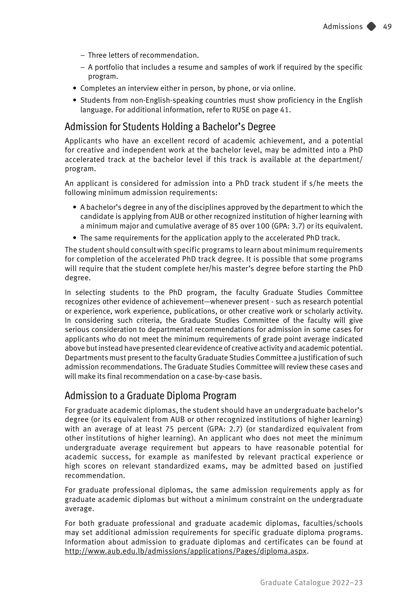- Three letters of recommendation.
- A portfolio that includes a resume and samples of work if required by the specific program.
- Completes an interview either in person, by phone, or via online.
- Students from non-English-speaking countries must show proficiency in the English language. For additional information, refer to RUSE on page [41.](#page-7-0)

#### Admission for Students Holding a Bachelor's Degree

Applicants who have an excellent record of academic achievement, and a potential for creative and independent work at the bachelor level, may be admitted into a PhD accelerated track at the bachelor level if this track is available at the department/ program.

An applicant is considered for admission into a PhD track student if s/he meets the following minimum admission requirements:

- A bachelor's degree in any of the disciplines approved by the department to which the candidate is applying from AUB or other recognized institution of higher learning with a minimum major and cumulative average of 85 over 100 (GPA: 3.7) or its equivalent.
- The same requirements for the application apply to the accelerated PhD track.

The student should consult with specific programs to learn about minimum requirements for completion of the accelerated PhD track degree. It is possible that some programs will require that the student complete her/his master's degree before starting the PhD degree.

In selecting students to the PhD program, the faculty Graduate Studies Committee recognizes other evidence of achievement—whenever present - such as research potential or experience, work experience, publications, or other creative work or scholarly activity. In considering such criteria, the Graduate Studies Committee of the faculty will give serious consideration to departmental recommendations for admission in some cases for applicants who do not meet the minimum requirements of grade point average indicated above but instead have presented clear evidence of creative activity and academic potential. Departments must present to the faculty Graduate Studies Committee a justification of such admission recommendations. The Graduate Studies Committee will review these cases and will make its final recommendation on a case-by-case basis.

#### Admission to a Graduate Diploma Program

For graduate academic diplomas, the student should have an undergraduate bachelor's degree (or its equivalent from AUB or other recognized institutions of higher learning) with an average of at least 75 percent (GPA: 2.7) (or standardized equivalent from other institutions of higher learning). An applicant who does not meet the minimum undergraduate average requirement but appears to have reasonable potential for academic success, for example as manifested by relevant practical experience or high scores on relevant standardized exams, may be admitted based on justified recommendation.

For graduate professional diplomas, the same admission requirements apply as for graduate academic diplomas but without a minimum constraint on the undergraduate average.

For both graduate professional and graduate academic diplomas, faculties/schools may set additional admission requirements for specific graduate diploma programs. Information about admission to graduate diplomas and certificates can be found at <http://www.aub.edu.lb/admissions/applications/Pages/diploma.aspx>.